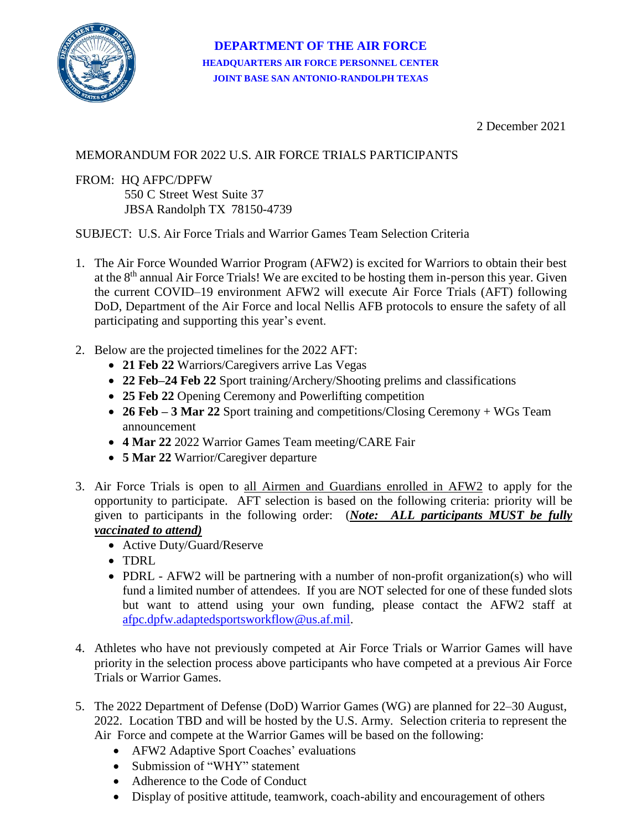

2 December 2021

## MEMORANDUM FOR 2022 U.S. AIR FORCE TRIALS PARTICIPANTS

FROM: HQ AFPC/DPFW 550 C Street West Suite 37 JBSA Randolph TX 78150-4739

SUBJECT: U.S. Air Force Trials and Warrior Games Team Selection Criteria

- 1. The Air Force Wounded Warrior Program (AFW2) is excited for Warriors to obtain their best at the  $8<sup>th</sup>$  annual Air Force Trials! We are excited to be hosting them in-person this year. Given the current COVID–19 environment AFW2 will execute Air Force Trials (AFT) following DoD, Department of the Air Force and local Nellis AFB protocols to ensure the safety of all participating and supporting this year's event.
- 2. Below are the projected timelines for the 2022 AFT:
	- **21 Feb 22** Warriors/Caregivers arrive Las Vegas
	- **22 Feb–24 Feb 22** Sport training/Archery/Shooting prelims and classifications
	- **25 Feb 22** Opening Ceremony and Powerlifting competition
	- **26 Feb – 3 Mar 22** Sport training and competitions/Closing Ceremony + WGs Team announcement
	- **4 Mar 22** 2022 Warrior Games Team meeting/CARE Fair
	- **5 Mar 22** Warrior/Caregiver departure
- 3. Air Force Trials is open to all Airmen and Guardians enrolled in AFW2 to apply for the opportunity to participate. AFT selection is based on the following criteria: priority will be given to participants in the following order: (*Note: ALL participants MUST be fully vaccinated to attend)*
	- Active Duty/Guard/Reserve
	- TDRL
	- PDRL AFW2 will be partnering with a number of non-profit organization(s) who will fund a limited number of attendees. If you are NOT selected for one of these funded slots but want to attend using your own funding, please contact the AFW2 staff at [afpc.dpfw.adaptedsportsworkflow@us.af.mil.](mailto:afpc.dpfw.adaptedsportsworkflow@us.af.mil)
- 4. Athletes who have not previously competed at Air Force Trials or Warrior Games will have priority in the selection process above participants who have competed at a previous Air Force Trials or Warrior Games.
- 5. The 2022 Department of Defense (DoD) Warrior Games (WG) are planned for 22–30 August, 2022. Location TBD and will be hosted by the U.S. Army. Selection criteria to represent the Air Force and compete at the Warrior Games will be based on the following:
	- AFW2 Adaptive Sport Coaches' evaluations
	- Submission of "WHY" statement
	- Adherence to the Code of Conduct
	- Display of positive attitude, teamwork, coach-ability and encouragement of others